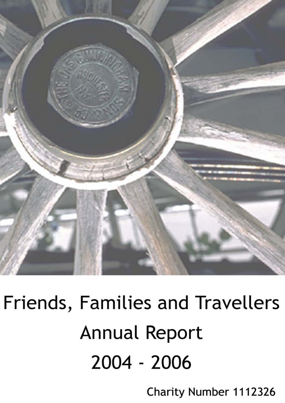

# Friends, Families and Travellers **Annual Report** 2004 - 2006

Charity Number 1112326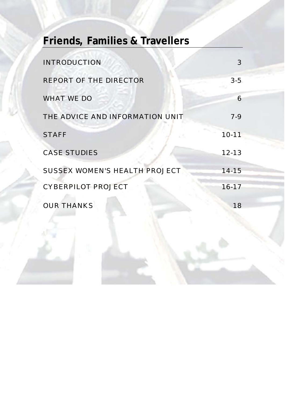## **Friends, Families & Travellers**

| <b>INTRODUCTION</b>                  |           |
|--------------------------------------|-----------|
| <b>REPORT OF THE DIRECTOR</b>        | $3 - 5$   |
| <b>WHAT WE DO</b>                    | 6         |
| THE ADVICE AND INFORMATION UNIT      | $7 - 9$   |
| <b>STAFF</b>                         | $10 - 11$ |
| <b>CASE STUDIES</b>                  | $12 - 13$ |
| <b>SUSSEX WOMEN'S HEALTH PROJECT</b> | $14 - 15$ |
| <b>CYBERPILOT PROJECT</b>            | $16 - 17$ |
| <b>OUR THANKS</b>                    | 18        |
|                                      |           |
|                                      |           |

**FFT Annual Report 2004/06**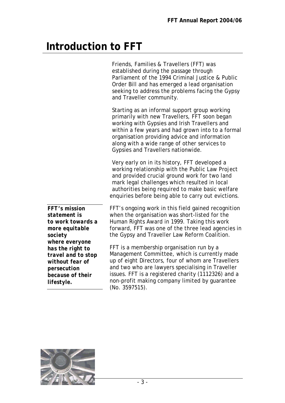### **Introduction to FFT**

|                                                                                 | Friends, Families & Travellers (FFT) was<br>established during the passage through<br>Parliament of the 1994 Criminal Justice & Public<br>Order Bill and has emerged a lead organisation<br>seeking to address the problems facing the Gypsy<br>and Traveller community.                                                                    |  |  |  |
|---------------------------------------------------------------------------------|---------------------------------------------------------------------------------------------------------------------------------------------------------------------------------------------------------------------------------------------------------------------------------------------------------------------------------------------|--|--|--|
|                                                                                 | Starting as an informal support group working<br>primarily with new Travellers, FFT soon began<br>working with Gypsies and Irish Travellers and<br>within a few years and had grown into to a formal<br>organisation providing advice and information<br>along with a wide range of other services to<br>Gypsies and Travellers nationwide. |  |  |  |
|                                                                                 | Very early on in its history, FFT developed a<br>working relationship with the Public Law Project<br>and provided crucial ground work for two land<br>mark legal challenges which resulted in local<br>authorities being required to make basic welfare<br>enquiries before being able to carry out evictions.                              |  |  |  |
| FFT's mission<br>statement is<br>to work towards a<br>more equitable<br>society | FFT's ongoing work in this field gained recognition<br>when the organisation was short-listed for the<br>Human Rights Award in 1999. Taking this work<br>forward, FFT was one of the three lead agencies in<br>the Gypsy and Traveller Law Reform Coalition.                                                                                |  |  |  |
| where everyone<br>has the right to<br>travel and to stop                        | FFT is a membership organisation run by a<br>Management Committee, which is currently made                                                                                                                                                                                                                                                  |  |  |  |

Management Committee, which is currently made up of eight Directors, four of whom are Travellers and two who are lawyers specialising in Traveller issues. FFT is a registered charity (1112326) and a non-profit making company limited by guarantee (No. 3597515).



*without fear of persecution because of their* 

*lifestyle.*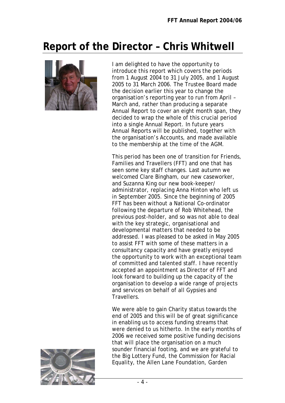### **Report of the Director – Chris Whitwell**



I am delighted to have the opportunity to introduce this report which covers the periods from 1 August 2004 to 31 July 2005, and 1 August 2005 to 31 March 2006. The Trustee Board made the decision earlier this year to change the organisation's reporting year to run from April – March and, rather than producing a separate Annual Report to cover an eight month span, they decided to wrap the whole of this crucial period into a single Annual Report. In future years Annual Reports will be published, together with the organisation's Accounts, and made available to the membership at the time of the AGM.

This period has been one of transition for Friends, Families and Travellers (FFT) and one that has seen some key staff changes. Last autumn we welcomed Clare Bingham, our new caseworker, and Suzanna King our new book-keeper/ administrator, replacing Anna Hinton who left us in September 2005. Since the beginning of 2005 FFT has been without a National Co-ordinator following the departure of Rob Whitehead, the previous post-holder, and so was not able to deal with the key strategic, organisational and developmental matters that needed to be addressed. I was pleased to be asked in May 2005 to assist FFT with some of these matters in a consultancy capacity and have greatly enjoyed the opportunity to work with an exceptional team of committed and talented staff. I have recently accepted an appointment as Director of FFT and look forward to building up the capacity of the organisation to develop a wide range of projects and services on behalf of all Gypsies and Travellers.

We were able to gain Charity status towards the end of 2005 and this will be of great significance in enabling us to access funding streams that were denied to us hitherto. In the early months of 2006 we received some positive funding decisions that will place the organisation on a much sounder financial footing, and we are grateful to the Big Lottery Fund, the Commission for Racial Equality, the Allen Lane Foundation, Garden

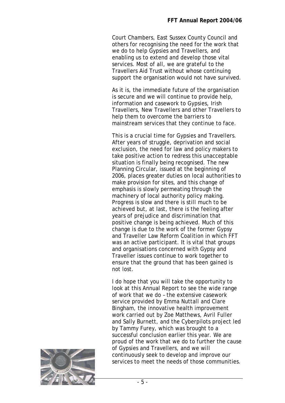Court Chambers, East Sussex County Council and others for recognising the need for the work that we do to help Gypsies and Travellers, and enabling us to extend and develop those vital services. Most of all, we are grateful to the Travellers Aid Trust without whose continuing support the organisation would not have survived.

As it is, the immediate future of the organisation is secure and we will continue to provide help, information and casework to Gypsies, Irish Travellers, New Travellers and other Travellers to help them to overcome the barriers to mainstream services that they continue to face.

This is a crucial time for Gypsies and Travellers. After years of struggle, deprivation and social exclusion, the need for law and policy makers to take positive action to redress this unacceptable situation is finally being recognised. The new Planning Circular, issued at the beginning of 2006, places greater duties on local authorities to make provision for sites, and this change of emphasis is slowly permeating through the machinery of local authority policy making. Progress is slow and there is still much to be achieved but, at last, there is the feeling after years of prejudice and discrimination that positive change is being achieved. Much of this change is due to the work of the former Gypsy and Traveller Law Reform Coalition in which FFT was an active participant. It is vital that groups and organisations concerned with Gypsy and Traveller issues continue to work together to ensure that the ground that has been gained is not lost.

I do hope that you will take the opportunity to look at this Annual Report to see the wide range of work that we do – the extensive casework service provided by Emma Nuttall and Clare Bingham, the innovative health improvement work carried out by Zoe Matthews, Avril Fuller and Sally Burnett, and the Cyberpilots project led by Tammy Furey, which was brought to a successful conclusion earlier this year. We are proud of the work that we do to further the cause of Gypsies and Travellers, and we will continuously seek to develop and improve our services to meet the needs of those communities.

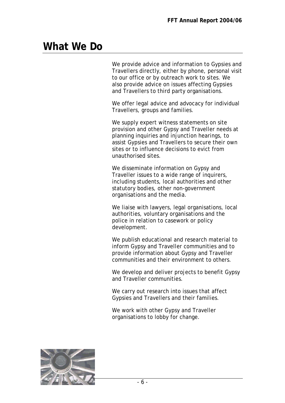### **What We Do**

We provide advice and information to Gypsies and Travellers directly, either by phone, personal visit to our office or by outreach work to sites. We also provide advice on issues affecting Gypsies and Travellers to third party organisations.

We offer legal advice and advocacy for individual Travellers, groups and families.

We supply expert witness statements on site provision and other Gypsy and Traveller needs at planning inquiries and injunction hearings, to assist Gypsies and Travellers to secure their own sites or to influence decisions to evict from unauthorised sites.

We disseminate information on Gypsy and Traveller issues to a wide range of inquirers, including students, local authorities and other statutory bodies, other non-government organisations and the media.

We liaise with lawyers, legal organisations, local authorities, voluntary organisations and the police in relation to casework or policy development.

We publish educational and research material to inform Gypsy and Traveller communities and to provide information about Gypsy and Traveller communities and their environment to others.

We develop and deliver projects to benefit Gypsy and Traveller communities.

We carry out research into issues that affect Gypsies and Travellers and their families.

We work with other Gypsy and Traveller organisations to lobby for change.

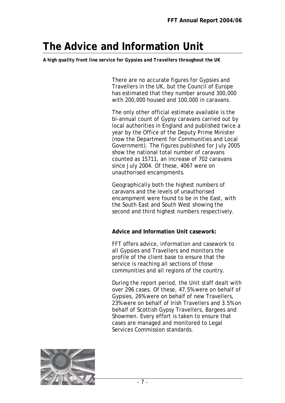### **The Advice and Information Unit**

*A high quality front line service for Gypsies and Travellers throughout the UK* 

There are no accurate figures for Gypsies and Travellers in the UK, but the Council of Europe has estimated that they number around 300,000 with 200,000 housed and 100,000 in caravans.

The only other official estimate available is the bi-annual count of Gypsy caravans carried out by local authorities in England and published twice a year by the Office of the Deputy Prime Minister (now the Department for Communities and Local Government). The figures published for July 2005 show the national total number of caravans counted as 15711, an increase of 702 caravans since July 2004. Of these, 4067 were on unauthorised encampments.

Geographically both the highest numbers of caravans and the levels of unauthorised encampment were found to be in the East, with the South East and South West showing the second and third highest numbers respectively.

**Advice and Information Unit casework:**

FFT offers advice, information and casework to all Gypsies and Travellers and monitors the profile of the client base to ensure that the service is reaching all sections of those communities and all regions of the country.

During the report period, the Unit staff dealt with over 296 cases. Of these, 47.5% were on behalf of Gypsies, 26% were on behalf of new Travellers, 23% were on behalf of Irish Travellers and 3.5% on behalf of Scottish Gypsy Travellers, Bargees and Showmen. Every effort is taken to ensure that cases are managed and monitored to Legal Services Commission standards.

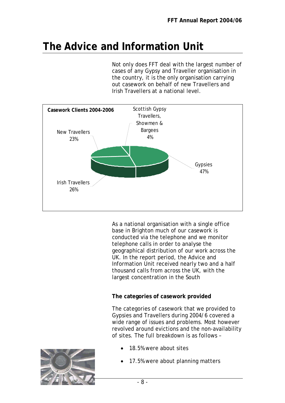### **The Advice and Information Unit**

Not only does FFT deal with the largest number of cases of any Gypsy and Traveller organisation in the country, it is the only organisation carrying out casework on behalf of new Travellers and Irish Travellers at a national level.



As a national organisation with a single office base in Brighton much of our casework is conducted via the telephone and we monitor telephone calls in order to analyse the geographical distribution of our work across the UK. In the report period, the Advice and Information Unit received nearly two and a half thousand calls from across the UK, with the largest concentration in the South

#### **The categories of casework provided**

The categories of casework that we provided to Gypsies and Travellers during 2004/6 covered a wide range of issues and problems. Most however revolved around evictions and the non-availability of sites. The full breakdown is as follows –

18.5% were about sites



17.5% were about planning matters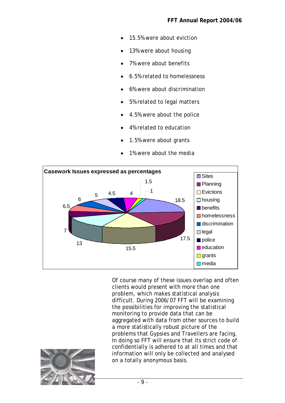- 15.5% were about eviction
- 13% were about housing
- 7% were about benefits
- 6.5% related to homelessness
- 6% were about discrimination
- 5% related to legal matters
- 4.5% were about the police
- 4% related to education
- 1.5% were about grants
- 1% were about the media



Of course many of these issues overlap and often clients would present with more than one problem, which makes statistical analysis difficult. During 2006/07 FFT will be examining the possibilities for improving the statistical monitoring to provide data that can be aggregated with data from other sources to build a more statistically robust picture of the problems that Gypsies and Travellers are facing. In doing so FFT will ensure that its strict code of confidentially is adhered to at all times and that information will only be collected and analysed on a totally anonymous basis.

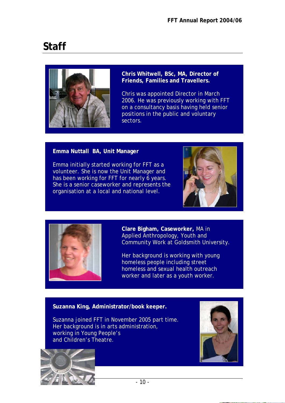### **Staff**



**Chris Whitwell, BSc, MA, Director of Friends, Families and Travellers.** 

Chris was appointed Director in March 2006. He was previously working with FFT on a consultancy basis having held senior positions in the public and voluntary sectors.

#### **Emma Nuttall BA, Unit Manager**

Emma initially started working for FFT as a volunteer. She is now the Unit Manager and has been working for FFT for nearly 6 years. She is a senior caseworker and represents the organisation at a local and national level.





**Clare Bigham, Caseworker,** MA in Applied Anthropology, Youth and Community Work at Goldsmith University.

Her background is working with young homeless people including street homeless and sexual health outreach worker and later as a youth worker.

#### **Claire Suzanna King, Administrator/book keeper.**

Suzanna joined FFT in November 2005 part time. Her background is in arts administration, working in Young People's and Children's Theatre.



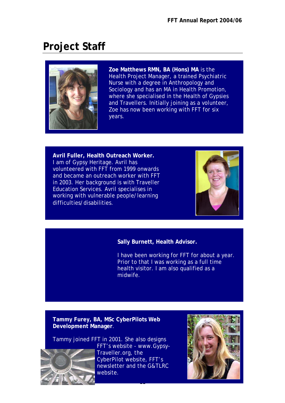### **Project Staff**



**Zoe Matthews RMN, BA (Hons) MA** is the Health Project Manager, a trained Psychiatric Nurse with a degree in Anthropology and Sociology and has an MA in Health Promotion, where she specialised in the Health of Gypsies and Travellers. Initially joining as a volunteer, Zoe has now been working with FFT for six years.

**Avril Fuller, Health Outreach Worker.** I am of Gypsy Heritage. Avril has volunteered with FFT from 1999 onwards and became an outreach worker with FFT in 2003. Her background is with Traveller Education Services. Avril specialises in working with vulnerable people/learning difficulties/disabilities.



#### **Sally Burnett, Health Advisor.**

I have been working for FFT for about a year. Prior to that I was working as a full time health visitor. I am also qualified as a midwife.

#### **Tammy Furey, BA, MSc CyberPilots Web Development Manager**.

Tammy joined FFT in 2001. She also designs FFT's website - www.Gypsy-Traveller.org, the CyberPilot website, FFT's newsletter and the G&TLRC website.

 $-$  11  $\sim$  11  $\sim$  11  $\sim$  11  $\sim$  11  $\sim$  11  $\sim$  11  $\sim$  11  $\sim$  11  $\sim$  11  $\sim$  11  $\sim$  11  $\sim$  11  $\sim$  11  $\sim$  11  $\sim$  11  $\sim$  11  $\sim$  11  $\sim$  11  $\sim$  11  $\sim$  11  $\sim$  11  $\sim$  11  $\sim$  11  $\sim$  11  $\sim$  11  $\sim$  11  $\sim$  1

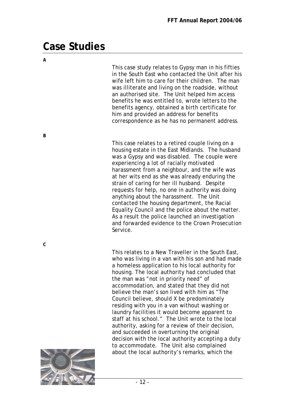### **Case Studies**

*B* 

*C* 

This case study relates to Gypsy man in his fifties in the South East who contacted the Unit after his wife left him to care for their children. The man was illiterate and living on the roadside, without an authorised site. The Unit helped him access benefits he was entitled to, wrote letters to the benefits agency, obtained a birth certificate for him and provided an address for benefits correspondence as he has no permanent address.

This case relates to a retired couple living on a housing estate in the East Midlands. The husband was a Gypsy and was disabled. The couple were experiencing a lot of racially motivated harassment from a neighbour, and the wife was at her wits end as she was already enduring the strain of caring for her ill husband. Despite requests for help, no one in authority was doing anything about the harassment. The Unit contacted the housing department, the Racial Equality Council and the police about the matter. As a result the police launched an investigation and forwarded evidence to the Crown Prosecution Service.

This relates to a New Traveller in the South East, who was living in a van with his son and had made a homeless application to his local authority for housing. The local authority had concluded that the man was "not in priority need" of accommodation, and stated that they did not believe the man's son lived with him as "The Council believe, should X be predominately residing with you in a van without washing or laundry facilities it would become apparent to staff at his school." The Unit wrote to the local authority, asking for a review of their decision, and succeeded in overturning the original decision with the local authority accepting a duty to accommodate. The Unit also complained about the local authority's remarks, which the

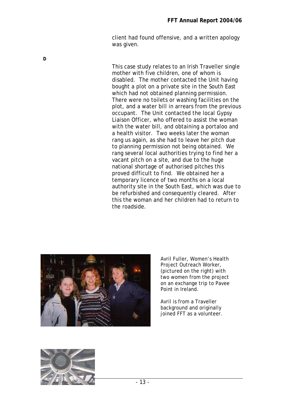client had found offensive, and a written apology was given.

*D* 

This case study relates to an Irish Traveller single mother with five children, one of whom is disabled. The mother contacted the Unit having bought a plot on a private site in the South East which had not obtained planning permission. There were no toilets or washing facilities on the plot, and a water bill in arrears from the previous occupant. The Unit contacted the local Gypsy Liaison Officer, who offered to assist the woman with the water bill, and obtaining a portaloo and a health visitor. Two weeks later the woman rang us again, as she had to leave her pitch due to planning permission not being obtained. We rang several local authorities trying to find her a vacant pitch on a site, and due to the huge national shortage of authorised pitches this proved difficult to find. We obtained her a temporary licence of two months on a local authority site in the South East, which was due to be refurbished and consequently cleared. After this the woman and her children had to return to the roadside.



Avril Fuller, Women's Health Project Outreach Worker, (pictured on the right) with two women from the project on an exchange trip to Pavee Point in Ireland.

Avril is from a Traveller background and originally joined FFT as a volunteer.

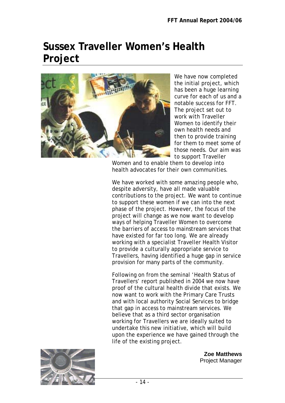### **Sussex Traveller Women's Health Project**



We have now completed the initial project, which has been a huge learning curve for each of us and a notable success for FFT. The project set out to work with Traveller Women to identify their own health needs and then to provide training for them to meet some of those needs. Our aim was to support Traveller

Women and to enable them to develop into health advocates for their own communities.

We have worked with some amazing people who, despite adversity, have all made valuable contributions to the project. We want to continue to support these women if we can into the next phase of the project. However, the focus of the project will change as we now want to develop ways of helping Traveller Women to overcome the barriers of access to mainstream services that have existed for far too long. We are already working with a specialist Traveller Health Visitor to provide a culturally appropriate service to Travellers, having identified a huge gap in service provision for many parts of the community.

Following on from the seminal 'Health Status of Travellers' report published in 2004 we now have proof of the cultural health divide that exists. We now want to work with the Primary Care Trusts and with local authority Social Services to bridge that gap in access to mainstream services. We believe that as a third sector organisation working for Travellers we are ideally suited to undertake this new initiative, which will build upon the experience we have gained through the life of the existing project.



**Zoe Matthews**  Project Manager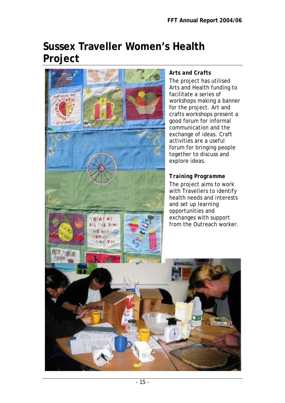### **Sussex Traveller Women's Health Project**



#### *Arts and Crafts*

The project has utilised Arts and Health funding to facilitate a series of workshops making a banner for the project. Art and crafts workshops present a good forum for informal communication and the exchange of ideas. Craft activities are a useful forum for bringing people together to discuss and

#### *Training Programme*

The project aims to work with Travellers to identify health needs and interests and set up learning opportunities and exchanges with support from the Outreach worker.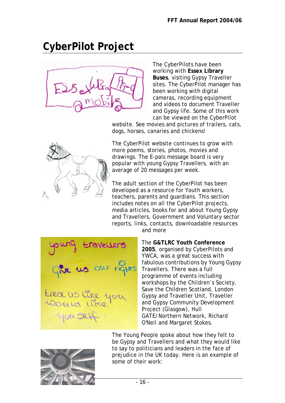### **CyberPilot Project**



The CyberPilots have been working with **Essex Library Buses**, visiting Gypsy Traveller sites. The CyberPilot manager has been working with digital cameras, recording equipment and videos to document Traveller and Gypsy life. Some of this work can be viewed on the CyberPilot

website. See movies and pictures of trailers, cats, dogs, horses, canaries and chickens!



The CyberPilot website continues to grow with more poems, stories, photos, movies and drawings. The E-pals message board is very popular with young Gypsy Travellers, with an average of 20 messages per week.

The adult section of the CyberPilot has been developed as a resource for Youth workers, teachers, parents and guardians. This section includes notes on all the CyberPilot projects, media articles, books for and about Young Gypsy and Travellers, Government and Voluntary sector reports, links, contacts, downloadable resources and more

our rights treat us like you you sef

The **G&TLRC Youth Conference 2005**, organised by CyberPilots and YWCA, was a great success with fabulous contributions by Young Gypsy Travellers. There was a full programme of events including workshops by the Children's Society, Save the Children Scotland, London Gypsy and Traveller Unit, Traveller and Gypsy Community Development Project (Glasgow), Hull GATE/Northern Network, Richard O'Neil and Margaret Stokes.



The Young People spoke about how they felt to be Gypsy and Travellers and what they would like to say to politicians and leaders in the face of prejudice in the UK today. Here is an example of some of their work: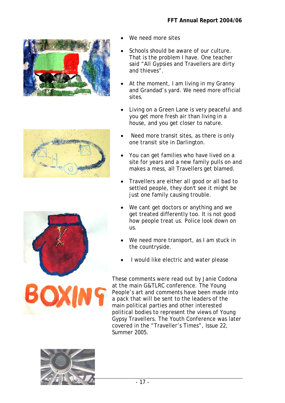





- We need more sites
- Schools should be aware of our culture. That is the problem I have. One teacher said "All Gypsies and Travellers are dirty and thieves".
- At the moment, I am living in my Granny and Grandad's yard. We need more official sites.
- Living on a Green Lane is very peaceful and you get more fresh air than living in a house, and you get closer to nature.
- Need more transit sites, as there is only one transit site in Darlington.
- You can get families who have lived on a site for years and a new family pulls on and makes a mess, all Travellers get blamed.
- Travellers are either all good or all bad to settled people, they don't see it might be just one family causing trouble.
- We cant get doctors or anything and we get treated differently too. It is not good how people treat us. Police look down on us.
- We need more transport, as I am stuck in the countryside.
- I would like electric and water please

These comments were read out by Janie Codona at the main G&TLRC conference. The Young People's art and comments have been made into a pack that will be sent to the leaders of the main political parties and other interested political bodies to represent the views of Young Gypsy Travellers. The Youth Conference was later covered in the "Traveller's Times", Issue 22, Summer 2005.

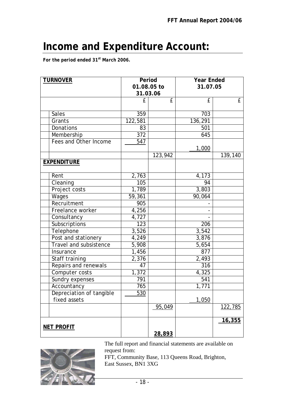### **Income and Expenditure Account:**

*For the period ended 31st March 2006.* 

| <b>TURNOVER</b>          |                  | Period      |                      | <b>Year Ended</b>      |  |
|--------------------------|------------------|-------------|----------------------|------------------------|--|
|                          |                  | 01.08.05 to |                      | 31.07.05               |  |
|                          |                  | 31.03.06    |                      |                        |  |
|                          | £                | £           | £                    | £                      |  |
| Sales                    | 359              |             | 703                  |                        |  |
| Grants                   | 122,581          |             | 136,291              |                        |  |
| Donations                | 83               |             | 501                  |                        |  |
| Membership               | 372              |             | 645                  |                        |  |
| Fees and Other Income    | 547              |             |                      |                        |  |
|                          |                  |             | 1,000                |                        |  |
|                          |                  | 123,942     |                      | $\overline{139}$ , 140 |  |
| <b>EXPENDITURE</b>       |                  |             |                      |                        |  |
| Rent                     | 2,763            |             | 4,173                |                        |  |
| Cleaning                 | 105              |             | 94                   |                        |  |
| Project costs            | 1,789            |             | 3,803                |                        |  |
| Wages                    | 59,361           |             | 90,064               |                        |  |
| Recruitment              | $\overline{905}$ |             |                      |                        |  |
| Freelance worker         | 4,256            |             |                      |                        |  |
| Consultancy              | 4,727            |             |                      |                        |  |
| Subscriptions            | 123              |             | 206                  |                        |  |
| Telephone                | 3,526            |             | 3,542                |                        |  |
| Post and stationery      | 4,249            |             | 3,876                |                        |  |
| Travel and subsistence   | 5,908            |             | 5,654                |                        |  |
| Insurance                | 1,456            |             | 877                  |                        |  |
| Staff training           | 2,376            |             | $\overline{2}$ , 493 |                        |  |
| Repairs and renewals     | 47               |             | 316                  |                        |  |
| Computer costs           | 1,372            |             | 4,325                |                        |  |
| Sundry expenses          | $\overline{7}91$ |             | 541                  |                        |  |
| Accountancy              | 765              |             | 1,771                |                        |  |
| Depreciation of tangible | 530              |             |                      |                        |  |
| fixed assets             |                  |             | 1,050                |                        |  |
|                          |                  | 95,049      |                      | <u>122,785</u>         |  |
|                          |                  |             |                      | <u>16,355</u>          |  |
| <b>NET PROFIT</b>        |                  | 28,893      |                      |                        |  |



The full report and financial statements are available on request from: FFT, Community Base, 113 Queens Road, Brighton,

East Sussex, BN1 3XG